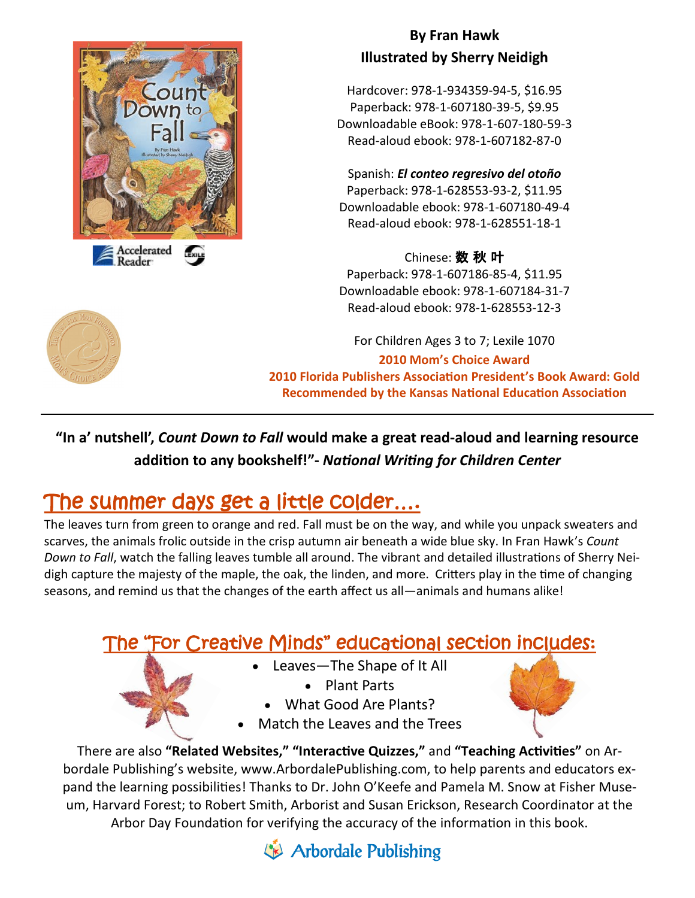

#### **By Fran Hawk Illustrated by Sherry Neidigh**

Hardcover: 978-1-934359-94-5, \$16.95 Paperback: 978-1-607180-39-5, \$9.95 Downloadable eBook: 978-1-607-180-59-3 Read-aloud ebook: 978-1-607182-87-0

Spanish: *El conteo regresivo del otoño* Paperback: 978-1-628553-93-2, \$11.95 Downloadable ebook: 978-1-607180-49-4 Read-aloud ebook: 978-1-628551-18-1

#### Chinese: 数 秋 叶

Paperback: 978-1-607186-85-4, \$11.95 Downloadable ebook: 978-1-607184-31-7 Read-aloud ebook: 978-1-628553-12-3

For Children Ages 3 to 7; Lexile 1070 **2010 Mom's Choice Award 2010 Florida Publishers Association President's Book Award: Gold Recommended by the Kansas National Education Association**

**"In a' nutshell',** *Count Down to Fall* **would make a great read-aloud and learning resource addition to any bookshelf!"-** *National Writing for Children Center*

# The summer days get a little colder....

The leaves turn from green to orange and red. Fall must be on the way, and while you unpack sweaters and scarves, the animals frolic outside in the crisp autumn air beneath a wide blue sky. In Fran Hawk's *Count Down to Fall*, watch the falling leaves tumble all around. The vibrant and detailed illustrations of Sherry Neidigh capture the majesty of the maple, the oak, the linden, and more. Critters play in the time of changing seasons, and remind us that the changes of the earth affect us all—animals and humans alike!

## The "For Creative Minds" educational section includes:

- Leaves—The Shape of It All
	- Plant Parts
	- What Good Are Plants?
- Match the Leaves and the Trees

There are also **"Related Websites," "Interactive Quizzes,"** and **"Teaching Activities"** on Arbordale Publishing's website, www.ArbordalePublishing.com, to help parents and educators expand the learning possibilities! Thanks to Dr. John O'Keefe and Pamela M. Snow at Fisher Museum, Harvard Forest; to Robert Smith, Arborist and Susan Erickson, Research Coordinator at the Arbor Day Foundation for verifying the accuracy of the information in this book.

Arbordale Publishing